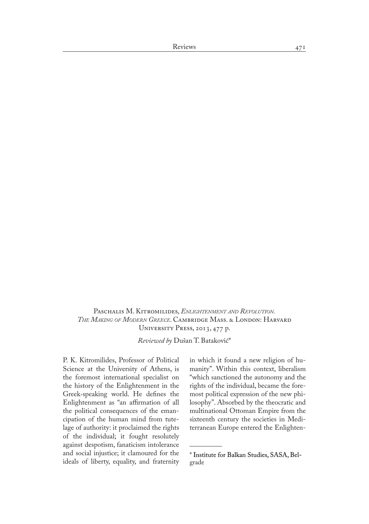Paschalis M. Kitromilides, *Enlightenment and Revolution. The Making of Modern Greece*. Cambridge Mass. & London: Harvard University Press, 2013, 477 p.

*Reviewed by* Dušan T. Bataković\*

P. K. Kitromilides, Professor of Political Science at the University of Athens, is the foremost international specialist on the history of the Enlightenment in the Greek-speaking world. He defines the Enlightenment as "an affirmation of all the political consequences of the eman� cipation of the human mind from tutelage of authority: it proclaimed the rights of the individual; it fought resolutely against despotism, fanaticism intolerance and social injustice; it clamoured for the ideals of liberty, equality, and fraternity in which it found a new religion of humanity". Within this context, liberalism "which sanctioned the autonomy and the rights of the individual, became the foremost political expression of the new philosophy". Absorbed by the theocratic and multinational Ottoman Empire from the sixteenth century the societies in Mediterranean Europe entered the Enlighten�

<sup>\*</sup> Institute for Balkan Studies, SASA, Belgrade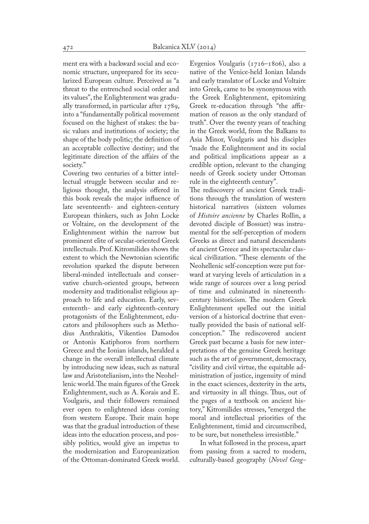ment era with a backward social and economic structure, unprepared for its secularized European culture. Perceived as "a threat to the entrenched social order and its values", the Enlightenment was gradually transformed, in particular after 1789, into a "fundamentally political movement focused on the highest of stakes: the ba� sic values and institutions of society; the shape of the body politic; the definition of an acceptable collective destiny; and the legitimate direction of the affairs of the society."

Covering two centuries of a bitter intel� lectual struggle between secular and religious thought, the analysis offered in this book reveals the major influence of late seventeenth- and eighteen-century European thinkers, such as John Locke or Voltaire, on the development of the Enlightenment within the narrow but prominent elite of secular-oriented Greek intellectuals. Prof. Kitromilides shows the extent to which the Newtonian scientific revolution sparked the dispute between liberal-minded intellectuals and conservative church-oriented groups, between modernity and traditionalist religious approach to life and education. Early, seventeenth- and early eighteenth-century protagonists of the Enlightenment, educators and philosophers such as Metho� dius Anthrakitis, Vikentios Damodos or Antonis Katiphoros from northern Greece and the Ionian islands, heralded a change in the overall intellectual climate by introducing new ideas, such as natural law and Aristotelianism, into the Neohellenic world. The main figures of the Greek Enlightenment, such as A. Korais and E. Voulgaris, and their followers remained ever open to enlightened ideas coming from western Europe. Their main hope was that the gradual introduction of these ideas into the education process, and possibly politics, would give an impetus to the modernization and Europeanization of the Ottoman-dominated Greek world.

Evgenios Voulgaris (1716–1806), also a native of the Venice-held Ionian Islands and early translator of Locke and Voltaire into Greek, came to be synonymous with the Greek Enlightenment, epitomizing Greek re-education through "the affirmation of reason as the only standard of truth". Over the twenty years of teaching in the Greek world, from the Balkans to Asia Minor, Voulgaris and his disciples "made the Enlightenment and its social and political implications appear as a credible option, relevant to the changing needs of Greek society under Ottoman rule in the eighteenth century".

The rediscovery of ancient Greek traditions through the translation of western historical narratives (sixteen volumes of *Histoire ancienne* by Charles Rollin, a devoted disciple of Bossuet) was instru� mental for the self-perception of modern Greeks as direct and natural descendants of ancient Greece and its spectacular clas� sical civilization. "These elements of the Neohellenic self-conception were put for� ward at varying levels of articulation in a wide range of sources over a long period of time and culminated in nineteenthcentury historicism. The modern Greek Enlightenment spelled out the initial version of a historical doctrine that even� tually provided the basis of national selfconception." The rediscovered ancient Greek past became a basis for new inter� pretations of the genuine Greek heritage such as the art of government, democracy, "civility and civil virtue, the equitable ad� ministration of justice, ingenuity of mind in the exact sciences, dexterity in the arts, and virtuosity in all things. Thus, out of the pages of a textbook on ancient his� tory," Kitromilides stresses, "emerged the moral and intellectual priorities of the Enlightenment, timid and circumscribed, to be sure, but nonetheless irresistible."

In what followed in the process, apart from passing from a sacred to modern, culturally-based geography (*Novel Geog-*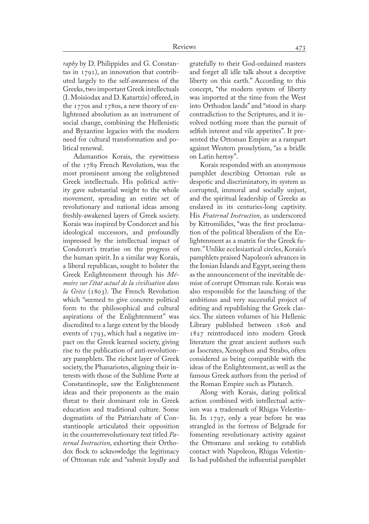*raphy* by D. Philippides and G. Constantas in  $1791$ ), an innovation that contributed largely to the self-awareness of the Greeks, two important Greek intellectuals (I. Moisiodax and D. Katartzis) offered, in the 1770s and 1780s, a new theory of enlightened absolutism as an instrument of social change, combining the Hellenistic and Byzantine legacies with the modern need for cultural transformation and political renewal.

Adamantios Korais, the eyewitness of the 1789 French Revolution, was the most prominent among the enlightened Greek intellectuals. His political activ� ity gave substantial weight to the whole movement, spreading an entire set of revolutionary and national ideas among freshly-awakened layers of Greek society. Korais was inspired by Condorcet and his ideological successors, and profoundly impressed by the intellectual impact of Condorcet's treatise on the progress of the human spirit. In a similar way Korais, a liberal republican, sought to bolster the Greek Enlightenment through his *Mémoire sur l'état actuel de la civilisation dans la Grèce* (1803). The French Revolution which "seemed to give concrete political form to the philosophical and cultural aspirations of the Enlightenment" was discredited to a large extent by the bloody events of 1793, which had a negative im� pact on the Greek learned society, giving rise to the publication of anti-revolution� ary pamphlets. The richest layer of Greek society, the Phanariotes, aligning their interests with those of the Sublime Porte at Constantinople, saw the Enlightenment ideas and their proponents as the main threat to their dominant role in Greek education and traditional culture. Some dogmatists of the Patriarchate of Constantinople articulated their opposition in the counterrevolutionary text titled *Paternal Instruction*, exhorting their Orthodox flock to acknowledge the legitimacy of Ottoman rule and "submit loyally and

gratefully to their God-ordained masters and forget all idle talk about a deceptive liberty on this earth." According to this concept, "the modern system of liberty was imported at the time from the West into Orthodox lands" and "stood in sharp contradiction to the Scriptures, and it involved nothing more than the pursuit of selfish interest and vile appetites". It presented the Ottoman Empire as a rampart against Western proselytism, "as a bridle on Latin heresy".

Korais responded with an anonymous pamphlet describing Ottoman rule as despotic and discriminatory, its system as corrupted, immoral and socially unjust, and the spiritual leadership of Greeks as enslaved in its centuries-long captivity. His *Fraternal Instruction*, as underscored by Kitromilides, "was the first proclamation of the political liberalism of the Enlightenment as a matrix for the Greek future." Unlike ecclesiastical circles, Korais's pamphlets praised Napoleon's advances in the Ionian Islands and Egypt, seeing them as the announcement of the inevitable demise of corrupt Ottoman rule. Korais was also responsible for the launching of the ambitious and very successful project of editing and republishing the Greek classics. The sixteen volumes of his Hellenic Library published between 1806 and 1827 reintroduced into modern Greek literature the great ancient authors such as Isocrates, Xenophon and Strabo, often considered as being compatible with the ideas of the Enlightenment, as well as the famous Greek authors from the period of the Roman Empire such as Plutarch.

Along with Korais, daring political action combined with intellectual activism was a trademark of Rhigas Velestinlis. In 1797, only a year before he was strangled in the fortress of Belgrade for fomenting revolutionary activity against the Ottomans and seeking to establish contact with Napoleon, Rhigas Velestin� lis had published the influential pamphlet